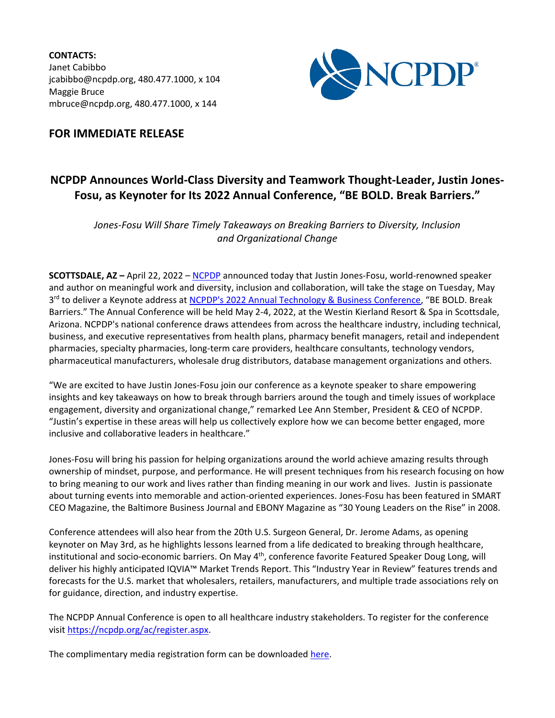**CONTACTS:** Janet Cabibbo jcabibbo@ncpdp.org, 480.477.1000, x 104 Maggie Bruce mbruce@ncpdp.org, 480.477.1000, x 144



## **FOR IMMEDIATE RELEASE**

## **NCPDP Announces World-Class Diversity and Teamwork Thought-Leader, Justin Jones-Fosu, as Keynoter for Its 2022 Annual Conference, "BE BOLD. Break Barriers."**

*Jones-Fosu Will Share Timely Takeaways on Breaking Barriers to Diversity, Inclusion and Organizational Change*

**SCOTTSDALE, AZ –** April 22, 2022 – [NCPDP](http://www.ncpdp.org/) announced today that Justin Jones-Fosu, world-renowned speaker and author on meaningful work and diversity, inclusion and collaboration, will take the stage on Tuesday, May 3<sup>rd</sup> to deliver a Keynote address at <u>NCPDP's 2022 Annual Technology & Business Conference</u>, "BE BOLD. Break Barriers." The Annual Conference will be held May 2-4, 2022, at the Westin Kierland Resort & Spa in Scottsdale, Arizona. NCPDP's national conference draws attendees from across the healthcare industry, including technical, business, and executive representatives from health plans, pharmacy benefit managers, retail and independent pharmacies, specialty pharmacies, long-term care providers, healthcare consultants, technology vendors, pharmaceutical manufacturers, wholesale drug distributors, database management organizations and others.

"We are excited to have Justin Jones-Fosu join our conference as a keynote speaker to share empowering insights and key takeaways on how to break through barriers around the tough and timely issues of workplace engagement, diversity and organizational change," remarked Lee Ann Stember, President & CEO of NCPDP. "Justin's expertise in these areas will help us collectively explore how we can become better engaged, more inclusive and collaborative leaders in healthcare."

Jones-Fosu will bring his passion for helping organizations around the world achieve amazing results through ownership of mindset, purpose, and performance. He will present techniques from his research focusing on how to bring meaning to our work and lives rather than finding meaning in our work and lives. Justin is passionate about turning events into memorable and action-oriented experiences. Jones-Fosu has been featured in SMART CEO Magazine, the Baltimore Business Journal and EBONY Magazine as "30 Young Leaders on the Rise" in 2008.

Conference attendees will also hear from the 20th U.S. Surgeon General, Dr. Jerome Adams, as opening keynoter on May 3rd, as he highlights lessons learned from a life dedicated to breaking through healthcare, institutional and socio-economic barriers. On May 4<sup>th</sup>, conference favorite Featured Speaker Doug Long, will deliver his highly anticipated IQVIA™ Market Trends Report. This "Industry Year in Review" features trends and forecasts for the U.S. market that wholesalers, retailers, manufacturers, and multiple trade associations rely on for guidance, direction, and industry expertise.

The NCPDP Annual Conference is open to all healthcare industry stakeholders. To register for the conference visi[t https://ncpdp.org/ac/register.aspx.](https://ncpdp.org/ac/register.aspx)

The complimentary media registration form can be downloade[d here.](https://ncpdp.org/NCPDP/media/pdf/UploadLinks/Media-Registration-Form.pdf)